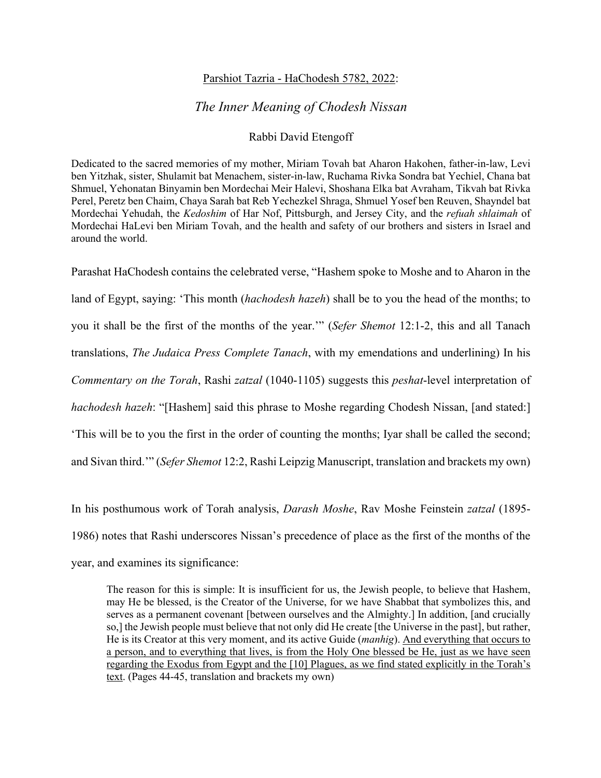## Parshiot Tazria - HaChodesh 5782, 2022:

## *The Inner Meaning of Chodesh Nissan*

## Rabbi David Etengoff

Dedicated to the sacred memories of my mother, Miriam Tovah bat Aharon Hakohen, father-in-law, Levi ben Yitzhak, sister, Shulamit bat Menachem, sister-in-law, Ruchama Rivka Sondra bat Yechiel, Chana bat Shmuel, Yehonatan Binyamin ben Mordechai Meir Halevi, Shoshana Elka bat Avraham, Tikvah bat Rivka Perel, Peretz ben Chaim, Chaya Sarah bat Reb Yechezkel Shraga, Shmuel Yosef ben Reuven, Shayndel bat Mordechai Yehudah, the *Kedoshim* of Har Nof, Pittsburgh, and Jersey City, and the *refuah shlaimah* of Mordechai HaLevi ben Miriam Tovah, and the health and safety of our brothers and sisters in Israel and around the world.

Parashat HaChodesh contains the celebrated verse, "Hashem spoke to Moshe and to Aharon in the land of Egypt, saying: 'This month (*hachodesh hazeh*) shall be to you the head of the months; to you it shall be the first of the months of the year.'" (*Sefer Shemot* 12:1-2, this and all Tanach translations, *The Judaica Press Complete Tanach*, with my emendations and underlining) In his *Commentary on the Torah*, Rashi *zatzal* (1040-1105) suggests this *peshat*-level interpretation of *hachodesh hazeh*: "[Hashem] said this phrase to Moshe regarding Chodesh Nissan, [and stated:] 'This will be to you the first in the order of counting the months; Iyar shall be called the second; and Sivan third.'" (*Sefer Shemot* 12:2, Rashi Leipzig Manuscript, translation and brackets my own)

In his posthumous work of Torah analysis, *Darash Moshe*, Rav Moshe Feinstein *zatzal* (1895- 1986) notes that Rashi underscores Nissan's precedence of place as the first of the months of the year, and examines its significance:

The reason for this is simple: It is insufficient for us, the Jewish people, to believe that Hashem, may He be blessed, is the Creator of the Universe, for we have Shabbat that symbolizes this, and serves as a permanent covenant [between ourselves and the Almighty.] In addition, [and crucially so,] the Jewish people must believe that not only did He create [the Universe in the past], but rather, He is its Creator at this very moment, and its active Guide (*manhig*). And everything that occurs to a person, and to everything that lives, is from the Holy One blessed be He, just as we have seen regarding the Exodus from Egypt and the [10] Plagues, as we find stated explicitly in the Torah's text. (Pages 44-45, translation and brackets my own)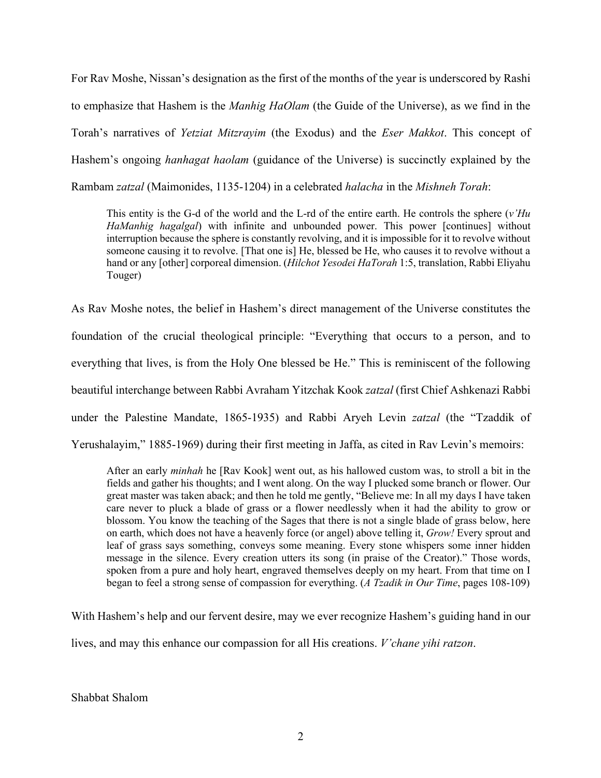For Rav Moshe, Nissan's designation as the first of the months of the year is underscored by Rashi to emphasize that Hashem is the *Manhig HaOlam* (the Guide of the Universe), as we find in the Torah's narratives of *Yetziat Mitzrayim* (the Exodus) and the *Eser Makkot*. This concept of Hashem's ongoing *hanhagat haolam* (guidance of the Universe) is succinctly explained by the Rambam *zatzal* (Maimonides, 1135-1204) in a celebrated *halacha* in the *Mishneh Torah*:

This entity is the G-d of the world and the L-rd of the entire earth. He controls the sphere (*v'Hu HaManhig hagalgal*) with infinite and unbounded power. This power [continues] without interruption because the sphere is constantly revolving, and it is impossible for it to revolve without someone causing it to revolve. [That one is] He, blessed be He, who causes it to revolve without a hand or any [other] corporeal dimension. (*Hilchot Yesodei HaTorah* 1:5, translation, Rabbi Eliyahu Touger)

As Rav Moshe notes, the belief in Hashem's direct management of the Universe constitutes the foundation of the crucial theological principle: "Everything that occurs to a person, and to everything that lives, is from the Holy One blessed be He." This is reminiscent of the following beautiful interchange between Rabbi Avraham Yitzchak Kook *zatzal* (first Chief Ashkenazi Rabbi under the Palestine Mandate, 1865-1935) and Rabbi Aryeh Levin *zatzal* (the "Tzaddik of Yerushalayim," 1885-1969) during their first meeting in Jaffa, as cited in Rav Levin's memoirs:

After an early *minhah* he [Rav Kook] went out, as his hallowed custom was, to stroll a bit in the fields and gather his thoughts; and I went along. On the way I plucked some branch or flower. Our great master was taken aback; and then he told me gently, "Believe me: In all my days I have taken care never to pluck a blade of grass or a flower needlessly when it had the ability to grow or blossom. You know the teaching of the Sages that there is not a single blade of grass below, here on earth, which does not have a heavenly force (or angel) above telling it, *Grow!* Every sprout and leaf of grass says something, conveys some meaning. Every stone whispers some inner hidden message in the silence. Every creation utters its song (in praise of the Creator)." Those words, spoken from a pure and holy heart, engraved themselves deeply on my heart. From that time on I began to feel a strong sense of compassion for everything. (*A Tzadik in Our Time*, pages 108-109)

With Hashem's help and our fervent desire, may we ever recognize Hashem's guiding hand in our

lives, and may this enhance our compassion for all His creations. *V'chane yihi ratzon*.

Shabbat Shalom